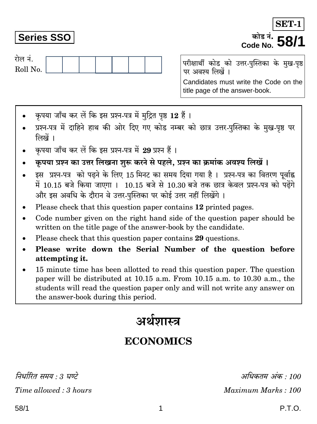निर्धारित समय : 3 घण्टे Time allowed: 3 hours

## अर्थशास्त्र

### **ECONOMICS**

अधिकतम अंक : 100 Maximum Marks: 100

P.T.O.

# कपया जाँच कर लें कि इस प्रश्न-पत्र में मुद्रित पृष्ठ 12 हैं।

- प्रश्न-पत्र में दाहिने हाथ की ओर दिए गए कोड नम्बर को छात्र उत्तर-पुस्तिका के मुख-पृष्ठ पर लिखें ।
- कपया जाँच कर लें कि इस प्रश्न-पत्र में 29 प्रश्न हैं।
- कृपया प्रश्न का उत्तर लिखना शुरू करने से पहले, प्रश्न का क्रमांक अवश्य लिखें ।
- इस प्रश्न-पत्र को पढ़ने के लिए 15 मिनट का समय दिया गया है। प्रश्न-पत्र का वितरण पर्वाह्न में 10.15 बजे किया जाएगा । 10.15 बजे से 10.30 बजे तक छात्र केवल प्रश्न-पत्र को पढ़ेंगे और इस अवधि के दौरान वे उत्तर-पस्तिका पर कोई उत्तर नहीं लिखेंगे ।
- Please check that this question paper contains 12 printed pages.
- Code number given on the right hand side of the question paper should be  $\bullet$ written on the title page of the answer-book by the candidate.
- Please check that this question paper contains 29 questions.
- Please write down the Serial Number of the question before attempting it.
- 15 minute time has been allotted to read this question paper. The question paper will be distributed at 10.15 a.m. From 10.15 a.m. to 10.30 a.m., the students will read the question paper only and will not write any answer on the answer-book during this period.

रोल नं. Roll No.

**Series SSO** 

परीक्षार्थी कोड को उत्तर-पुस्तिका के मुख-पृष्ठ पर अवश्य लिखें । Candidates must write the Code on the title page of the answer-book.

**SET-**कोड नं. *∎* Code No.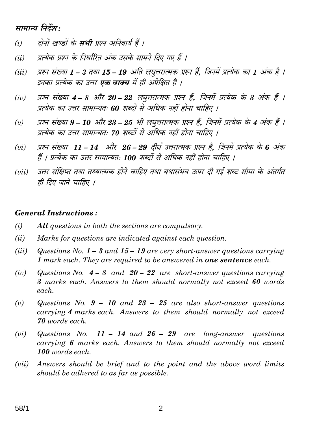#### सामान्य निर्देश:

- दोनों खण्डों के **सभी** प्रश्न अनिवार्य हैं ।  $(i)$
- प्रत्येक प्रश्न के निर्धारित अंक उसके सामने दिए गए हैं ।  $(ii)$
- प्रश्न संख्या 1 3 तथा 15 19 अति लघूत्तरात्मक प्रश्न हैं. जिनमें प्रत्येक का 1 अंक है ।  $(iii)$ इनका प्रत्येक का उत्तर **एक वाक्य** में ही अपेक्षित है ।
- प्रश्न संख्या 4 8 और 20 22 लघुत्तरात्मक प्रश्न हैं, जिनमें प्रत्येक के 3 अंक हैं ।  $(iv)$ प्रत्येक का उत्तर सामान्यतः 60 शब्दों से अधिक नहीं होना चाहिए ।
- प्रश्न संख्या 9 10 और 23 25 भी लघुत्तरात्मक प्रश्न हैं, जिनमें प्रत्येक के 4 अंक हैं ।  $(v)$ प्रत्येक का उत्तर सामान्यतः 70 शब्दों से अधिक नहीं होना चाहिए ।
- प्रश्न संख्या 11 14 और 26 29 दीर्घ उत्तरात्मक प्रश्न हैं, जिनमें प्रत्येक के 6 अंक  $(vi)$ हैं । प्रत्येक का उत्तर सामान्यतः 100 शब्दों से अधिक नहीं होना चाहिए ।
- उत्तर संक्षिप्त तथा तथ्यात्मक होने चाहिए तथा यथासंभव ऊपर दी गई शब्द सीमा के अंतर्गत  $(vii)$ ही दिए जाने चाहिए ।

#### **General Instructions:**

- $(i)$ All questions in both the sections are compulsory.
- $(ii)$ Marks for questions are indicated against each question.
- $(iii)$ Questions No.  $1 - 3$  and  $15 - 19$  are very short-answer questions carrying 1 mark each. They are required to be answered in **one sentence** each.
- Questions No.  $4 8$  and  $20 22$  are short-answer questions carrying  $(iv)$ 3 marks each. Answers to them should normally not exceed 60 words each.
- $(v)$ Questions No.  $9 - 10$  and  $23 - 25$  are also short-answer questions carrying 4 marks each. Answers to them should normally not exceed 70 words each.
- Questions No. 11 14 and  $26 29$  are long-answer questions  $(vi)$ carrying 6 marks each. Answers to them should normally not exceed 100 words each.
- $(vii)$ Answers should be brief and to the point and the above word limits should be adhered to as far as possible.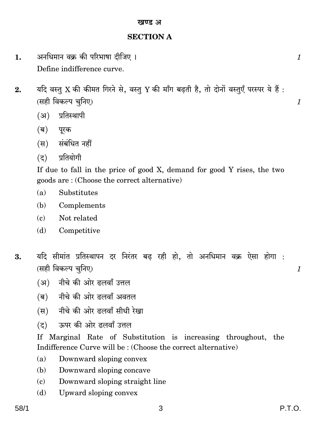#### खण्ड अ

#### **SECTION A**

- अनधिमान वक्र की परिभाषा दीजिए । 1. Define indifference curve.
- यदि वस्तु X की कीमत गिरने से, वस्तु Y की माँग बढ़ती है, तो दोनों वस्तुएँ परस्पर ये हैं:  $2.$ (सही विकल्प चुनिए)
	- (अ) प्रतिस्थापी
	- (ब) परक
	- (स) संबंधित नहीं
	- (द) प्रतियोगी

If due to fall in the price of good X, demand for good Y rises, the two goods are: (Choose the correct alternative)

- $(a)$ Substitutes
- (b) Complements
- $(c)$ Not related
- Competitive (d)
- यदि सीमांत प्रतिस्थापन दर निरंतर बढ रही हो. तो अनधिमान वक्र ऐसा होगा : 3. (सही विकल्प चुनिए)
	- (अ) नीचे की ओर ढलवाँ उत्तल
	- (ब) नीचे की ओर ढलवाँ अवतल
	- (स) नीचे की ओर दलवाँ सीधी रेखा
	- ऊपर की ओर दलवाँ उत्तल  $(5)$

If Marginal Rate of Substitution is increasing throughout, the Indifference Curve will be: (Choose the correct alternative)

- Downward sloping convex  $(a)$
- Downward sloping concave (b)
- Downward sloping straight line  $\epsilon$
- Upward sloping convex (d)

 $\mathcal{I}$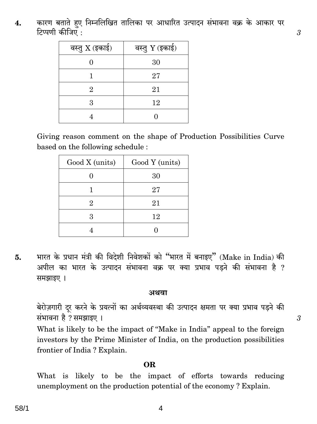कारण बताते हुए निम्नलिखित तालिका पर आधारित उत्पादन संभावना वक्र के आकार पर 4. टिप्पणी कीजिए :

| वस्तु $X$ (इकाई) | वस्तु Y (इकाई) |
|------------------|----------------|
|                  | 30             |
|                  | 27             |
| 2                | 21             |
| З                | 12             |
|                  |                |

Giving reason comment on the shape of Production Possibilities Curve based on the following schedule:

| Good X (units) | Good Y (units) |
|----------------|----------------|
|                | 30             |
|                | 27             |
| 2              | 21             |
| 3              | 12             |
|                |                |

भारत के प्रधान मंत्री की विदेशी निवेशकों को "भारत में बनाइए" (Make in India) की 5. अपील का भारत के उत्पादन संभावना वक्र पर क्या प्रभाव पड़ने की संभावना है ? समझाइए ।

#### अथवा

बेरोज़गारी दूर करने के प्रयत्नों का अर्थव्यवस्था की उत्पादन क्षमता पर क्या प्रभाव पड़ने की संभावना है ? समझाइए ।

What is likely to be the impact of "Make in India" appeal to the foreign investors by the Prime Minister of India, on the production possibilities frontier of India? Explain.

#### OR.

What is likely to be the impact of efforts towards reducing unemployment on the production potential of the economy? Explain.

58/1

4

3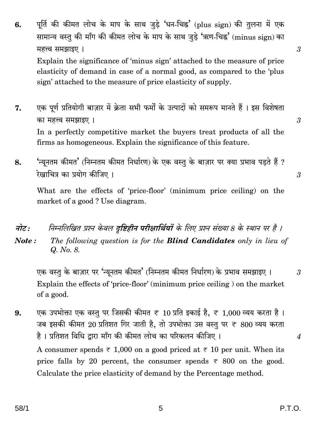पूर्ति की कीमत लोच के माप के साथ जुड़े 'धन-चिह्न' (plus sign) की तुलना में एक 6. सामान्य वस्तु की माँग की कीमत लोच के माप के साथ जुड़े 'ऋण-चिह्न' (minus sign) का महत्त्व समझाइए ।

Explain the significance of 'minus sign' attached to the measure of price elasticity of demand in case of a normal good, as compared to the 'plus sign' attached to the measure of price elasticity of supply.

एक पूर्ण प्रतियोगी बाज़ार में क्रेता सभी फर्मों के उत्पादों को समरूप मानते हैं । इस विशेषता 7. का महत्त्व समझाइए। In a perfectly competitive market the buyers treat products of all the firms as homogeneous. Explain the significance of this feature.

'न्युनतम कीमत' (निम्नतम कीमत निर्धारण) के एक वस्तु के बाज़ार पर क्या प्रभाव पडते हैं ? 8. रेखाचित्र का प्रयोग कीजिए ।

What are the effects of 'price-floor' (minimum price ceiling) on the market of a good? Use diagram.

- निम्नलिखित प्रश्न केवल **दष्टिहीन परीक्षार्थियों** के लिए प्रश्न संख्या 8 के स्थान पर है । नोट :
- The following question is for the **Blind Candidates** only in lieu of Note: Q. No. 8.

एक वस्तु के बाज़ार पर 'न्यूनतम कीमत' (निम्नतम कीमत निर्धारण) के प्रभाव समझाइए । Explain the effects of 'price-floor' (minimum price ceiling) on the market of a good.

एक उपभोक्ता एक वस्तु पर जिसकी कीमत ₹ 10 प्रति इकाई है, ₹ 1,000 व्यय करता है। 9. जब इसकी कीमत 20 प्रतिशत गिर जाती है, तो उपभोक्ता उस वस्तु पर ₹ 800 व्यय करता है। प्रतिशत विधि द्रारा माँग की कीमत लोच का परिकलन कीजिए। A consumer spends  $\overline{\tau}$  1,000 on a good priced at  $\overline{\tau}$  10 per unit. When its price falls by 20 percent, the consumer spends  $\overline{\tau}$  800 on the good. Calculate the price elasticity of demand by the Percentage method.

3

 $\mathcal{S}$ 

 $\mathcal{S}$ 

 $\overline{4}$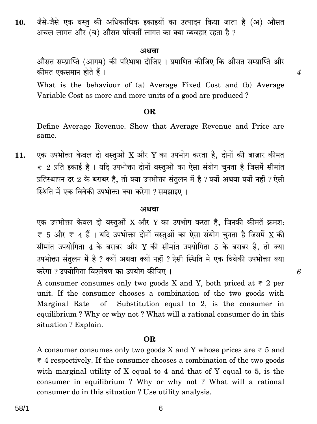जैसे-जैसे एक वस्त की अधिकाधिक इकाइयों का उत्पादन किया जाता है (अ) औसत  $10.$ अचल लागत और (ब) औसत परिवर्ती लागत का क्या व्यवहार रहता है ?

#### अथवा

औसत सम्प्राप्ति (आगम) की परिभाषा दीजिए । प्रमाणित कीजिए कि औसत सम्प्राप्ति और कीमत एकसमान होते हैं।

 $\boldsymbol{4}$ 

6

What is the behaviour of (a) Average Fixed Cost and (b) Average Variable Cost as more and more units of a good are produced?

#### OR.

Define Average Revenue. Show that Average Revenue and Price are same.

एक उपभोक्ता केवल दो वस्तुओं X और Y का उपभोग करता है, दोनों की बाज़ार कीमत  $11.$  $\overline{\tau}$  2 प्रति इकाई है । यदि उपभोक्ता दोनों वस्तुओं का ऐसा संयोग चुनता है जिसमें सीमांत प्रतिस्थापन दर 2 के बराबर है, तो क्या उपभोक्ता संतुलन में है ? क्यों अथवा क्यों नहीं ? ऐसी स्थिति में एक विवेकी उपभोक्ता क्या करेगा ? समझाइए ।

#### अथवा

एक उपभोक्ता केवल दो वस्तुओं X और Y का उपभोग करता है, जिनकी कीमतें क्रमश:  $\bar{\tau}$  5 और  $\bar{\tau}$  4 हैं । यदि उपभोक्ता दोनों वस्तुओं का ऐसा संयोग चनता है जिसमें X की सीमांत उपयोगिता 4 के बराबर और Y की सीमांत उपयोगिता 5 के बराबर है. तो क्या उपभोक्ता संतलन में है ? क्यों अथवा क्यों नहीं ? ऐसी स्थिति में एक विवेकी उपभोक्ता क्या करेगा ? उपयोगिता विश्लेषण का उपयोग कीजिए ।

A consumer consumes only two goods X and Y, both priced at  $\overline{\tau}$  2 per unit. If the consumer chooses a combination of the two goods with of Substitution equal to 2, is the consumer in Marginal Rate equilibrium? Why or why not? What will a rational consumer do in this situation? Explain.

#### **OR**

A consumer consumes only two goods X and Y whose prices are  $\overline{\tau}$  5 and  $\overline{\tau}$  4 respectively. If the consumer chooses a combination of the two goods with marginal utility of  $X$  equal to 4 and that of  $Y$  equal to 5, is the consumer in equilibrium? Why or why not? What will a rational consumer do in this situation? Use utility analysis.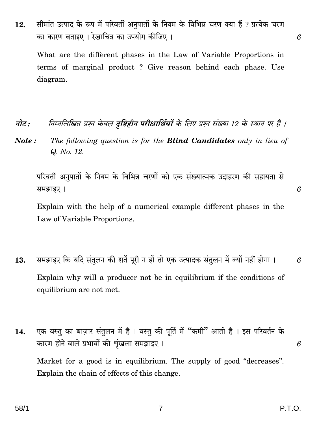सीमांत उत्पाद के रूप में परिवर्ती अनुपातों के नियम के विभिन्न चरण क्या हैं ? प्रत्येक चरण 12. का कारण बताइए । रेखाचित्र का उपयोग कीजिए ।

What are the different phases in the Law of Variable Proportions in terms of marginal product? Give reason behind each phase. Use diagram.

- निम्नलिखित प्रश्न केवल दुष्टिहीन परीक्षार्थियों के लिए प्रश्न संख्या 12 के स्थान पर है । नोट $\cdot$
- The following question is for the **Blind Candidates** only in lieu of Note: Q. No. 12.

परिवर्ती अनुपातों के नियम के विभिन्न चरणों को एक संख्यात्मक उदाहरण की सहायता से समझाइए ।

6

6

Explain with the help of a numerical example different phases in the Law of Variable Proportions.

- समझाइए कि यदि संतुलन की शर्तें पूरी न हों तो एक उत्पादक संतुलन में क्यों नहीं होगा । 13. 6 Explain why will a producer not be in equilibrium if the conditions of equilibrium are not met.
- एक वस्तु का बाज़ार संतुलन में है। वस्तु की पूर्ति में "कमी" आती है। इस परिवर्तन के 14. कारण होने वाले प्रभावों की शृंखला समझाइए। Market for a good is in equilibrium. The supply of good "decreases". Explain the chain of effects of this change.

6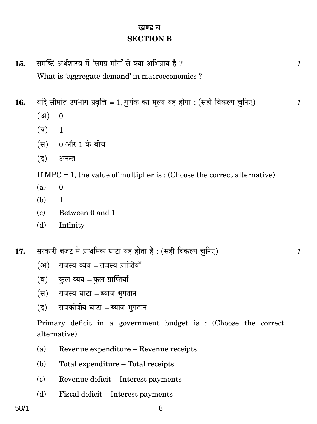#### खण्ड ब **SECTION B**

- समष्टि अर्थशास्त्र में 'समग्र माँग' से क्या अभिप्राय है ?  $15.$ What is 'aggregate demand' in macroeconomics ?
- यदि सीमांत उपभोग प्रवृत्ति = 1, गुणंक का मूल्य यह होगा : (सही विकल्प चुनिए) 16.
	- $(3)$  $\overline{0}$
	- (ब)  $\mathbf{1}$
	- (स) 0 और 1 के बीच
	- $(5)$ अनन्त

If  $MPC = 1$ , the value of multiplier is: (Choose the correct alternative)

- $(a)$  $\Omega$
- (b)  $\mathbf{1}$
- Between 0 and 1  $\epsilon$ )
- Infinity (d)
- सरकारी बजट में प्राथमिक घाटा यह होता है: (सही विकल्प चुनिए)  $17.$ 
	- राजस्व व्यय राजस्व प्राप्तियाँ  $(3)$
	- (ब) कुल व्यय –कुल प्राप्तियाँ
	- (स) राजस्व घाटा ब्याज भुगतान
	- राजकोषीय घाटा ब्याज भुगतान  $(5)$

Primary deficit in a government budget is : (Choose the correct alternative)

- Revenue expenditure Revenue receipts  $(a)$
- (b) Total expenditure - Total receipts
- $(c)$ Revenue deficit – Interest payments
- Fiscal deficit Interest payments  $(d)$

 $\mathcal{I}_{\mathcal{L}}$ 

 $\mathcal{I}_{\mathcal{L}}$ 

 $\mathcal I$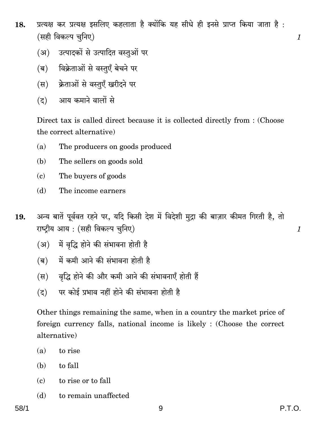- प्रत्यक्ष कर प्रत्यक्ष इसलिए कहलाता है क्योंकि यह सीधे ही इनसे प्राप्त किया जाता है: 18. (सही विकल्प चनिए)
	- (अ) उत्पादकों से उत्पादित वस्तओं पर
	- (ब) विक्रेताओं से वस्तुएँ बेचने पर
	- क्रेताओं से वस्तुएँ खरीदने पर (स)
	- आय कमाने वालों से  $(5)$

Direct tax is called direct because it is collected directly from : (Choose the correct alternative)

- $(a)$ The producers on goods produced
- The sellers on goods sold  $(b)$
- $(c)$ The buyers of goods
- $(d)$ The income earners
- अन्य बातें पूर्ववत रहने पर, यदि किसी देश में विदेशी मुद्रा की बाज़ार कीमत गिरती है, तो 19. राष्ट्रीय आय: (सही विकल्प चुनिए)
	- (अ) में वृद्धि होने की संभावना होती है
	- में कमी आने की संभावना होती है (ब)
	- (स) वद्धि होने की और कमी आने की संभावनाएँ होती हैं
	- पर कोई प्रभाव नहीं होने की संभावना होती है  $(5)$

Other things remaining the same, when in a country the market price of foreign currency falls, national income is likely : (Choose the correct alternative)

- $(a)$ to rise
- to fall (b)
- $(c)$ to rise or to fall
- to remain unaffected (d)

 $\mathcal{I}_{\mathcal{L}}$ 

 $\mathcal{I}_{\mathcal{I}}$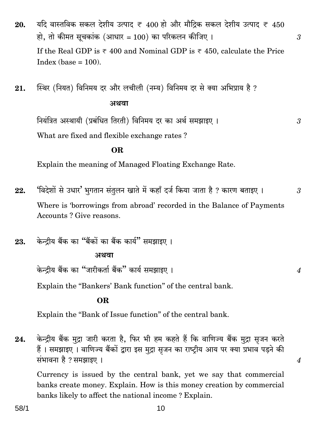यदि वास्तविक सकल देशीय उत्पाद ₹ 400 हो और मौदिक सकल देशीय उत्पाद ₹ 450 20. हो, तो कीमत सूचकांक (आधार = 100) का परिकलन कीजिए। If the Real GDP is  $\overline{\epsilon}$  400 and Nominal GDP is  $\overline{\epsilon}$  450, calculate the Price  $Index (base = 100)$ .

 $\mathfrak{Z}$ 

 $\mathfrak{Z}$ 

 $\overline{4}$ 

 $\overline{4}$ 

स्थिर (नियत) विनिमय दर और लचीली (नम्य) विनिमय दर से क्या अभिप्राय है ? 21. अथवा

नियंत्रित अस्थायी (प्रबंधित तिरती) विनिमय दर का अर्थ समझाइए । What are fixed and flexible exchange rates?

#### **OR**

Explain the meaning of Managed Floating Exchange Rate.

- 'विदेशों से उधार' भगतान संतुलन खाते में कहाँ दर्ज किया जाता है ? कारण बताइए । 22. 3 Where is 'borrowings from abroad' recorded in the Balance of Payments Accounts? Give reasons.
- केन्दीय बैंक का "बैंकों का बैंक कार्य" समझाइए । 23.

#### अथवा

केन्दीय बैंक का "जारीकर्ता बैंक" कार्य समझाइए ।

Explain the "Bankers' Bank function" of the central bank.

#### **OR**

Explain the "Bank of Issue function" of the central bank.

केन्द्रीय बैंक मुद्रा जारी करता है, फिर भी हम कहते हैं कि वाणिज्य बैंक मुद्रा सुजन करते 24. हैं। समझाइए। वाणिज्य बैंकों द्वारा इस मुद्रा सृजन का राष्ट्रीय आय पर क्या प्रभाव पड़ने की संभावना है ? समझाइए ।

Currency is issued by the central bank, yet we say that commercial banks create money. Explain. How is this money creation by commercial banks likely to affect the national income? Explain.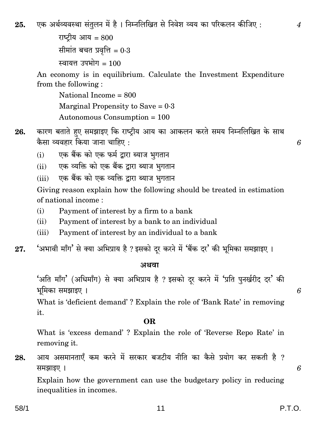एक अर्थव्यवस्था संतुलन में है। निम्नलिखित से निवेश व्यय का परिकलन कीजिए : 25.

```
राष्टीय आय = 800सीमांत बचत प्रवृत्ति = 0.3स्वायत्त उपभोग= 100
```
An economy is in equilibrium. Calculate the Investment Expenditure from the following:

National Income  $= 800$ Marginal Propensity to Save =  $0.3$ Autonomous Consumption =  $100$ 

- कारण बताते हुए समझाइए कि राष्ट्रीय आय का आकलन करते समय निम्नलिखित के साथ 26. कैसा व्यवहार किया जाना चाहिए :
	- एक बैंक को एक फर्म द्वारा ब्याज भगतान  $(i)$
	- एक व्यक्ति को एक बैंक द्वारा ब्याज भगतान  $(ii)$
	- एक बैंक को एक व्यक्ति द्वारा ब्याज भूगतान  $(iii)$

Giving reason explain how the following should be treated in estimation of national income:

- $(i)$ Payment of interest by a firm to a bank
- $(ii)$ Payment of interest by a bank to an individual
- $(iii)$ Payment of interest by an individual to a bank
- 'अभावी माँग' से क्या अभिप्राय है ? इसको दूर करने में 'बैंक दर' की भूमिका समझाइए । 27.

#### अथवा

'अति माँग' (अधिमाँग) से क्या अभिप्राय है ? इसको दर करने में 'प्रति पुनर्खरीद दर' की भूमिका समझाइए ।

What is 'deficient demand'? Explain the role of 'Bank Rate' in removing it.

#### OR.

What is 'excess demand'? Explain the role of 'Reverse Repo Rate' in removing it.

आय असमानताएँ कम करने में सरकार बजटीय नीति का कैसे प्रयोग कर सकती है ? 28. समझाइए ।

Explain how the government can use the budgetary policy in reducing inequalities in incomes.

 $\overline{4}$ 

6

6